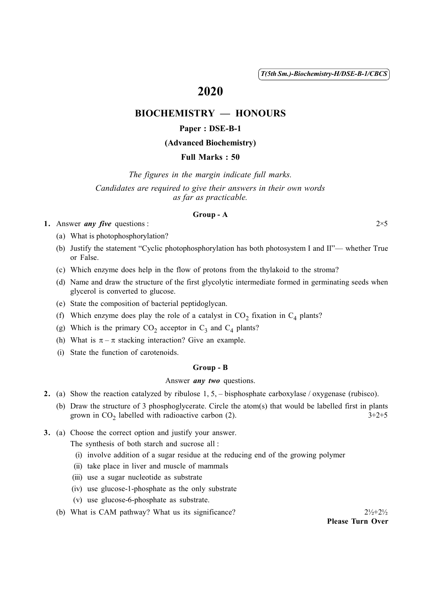( 1 ) *T(5th Sm.)-Biochemistry-H/DSE-B-1/CBCS*

# 2020

# BIOCHEMISTRY — HONOURS

### Paper : DSE-B-1

### (Advanced Biochemistry)

#### Full Marks : 50

*The figures in the margin indicate full marks. Candidates are required to give their answers in their own words as far as practicable.*

#### Group - A

1. Answer *any five* questions :  $2 \times 5$ 

(a) What is photophosphorylation?

- (b) Justify the statement "Cyclic photophosphorylation has both photosystem I and II"— whether True or False.
- (c) Which enzyme does help in the flow of protons from the thylakoid to the stroma?
- (d) Name and draw the structure of the first glycolytic intermediate formed in germinating seeds when glycerol is converted to glucose.
- (e) State the composition of bacterial peptidoglycan.
- (f) Which enzyme does play the role of a catalyst in  $CO_2$  fixation in  $C_4$  plants?
- (g) Which is the primary  $CO_2$  acceptor in  $C_3$  and  $C_4$  plants?
- (h) What is  $\pi \pi$  stacking interaction? Give an example.
- (i) State the function of carotenoids.

#### Group - B

#### Answer *any two* questions.

- 2. (a) Show the reaction catalyzed by ribulose 1, 5, bisphosphate carboxylase / oxygenase (rubisco).
	- (b) Draw the structure of 3 phosphoglycerate. Circle the atom(s) that would be labelled first in plants grown in  $CO_2$  labelled with radioactive carbon (2).  $3+2+5$
- 3. (a) Choose the correct option and justify your answer.

The synthesis of both starch and sucrose all :

- (i) involve addition of a sugar residue at the reducing end of the growing polymer
- (ii) take place in liver and muscle of mammals
- (iii) use a sugar nucleotide as substrate
- (iv) use glucose-1-phosphate as the only substrate
- (v) use glucose-6-phosphate as substrate.
- (b) What is CAM pathway? What us its significance?  $2\frac{1}{2} + 2\frac{1}{2}$

Please Turn Over